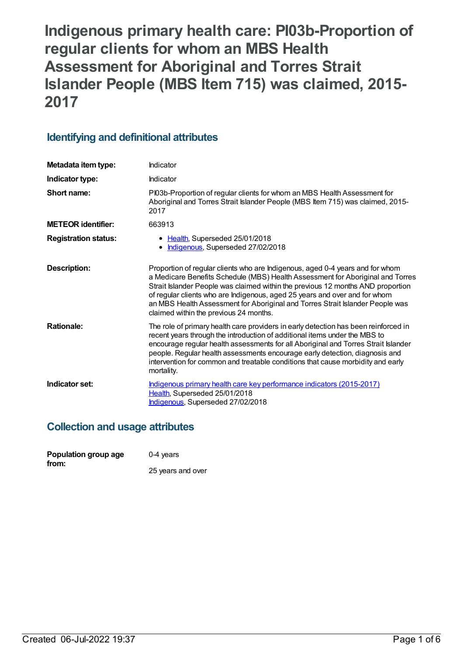**Indigenous primary health care: PI03b-Proportion of regular clients for whom an MBS Health Assessment for Aboriginal and Torres Strait Islander People (MBS Item 715) was claimed, 2015- 2017**

# **Identifying and definitional attributes**

| Metadata item type:         | Indicator                                                                                                                                                                                                                                                                                                                                                                                                                                                   |
|-----------------------------|-------------------------------------------------------------------------------------------------------------------------------------------------------------------------------------------------------------------------------------------------------------------------------------------------------------------------------------------------------------------------------------------------------------------------------------------------------------|
| Indicator type:             | Indicator                                                                                                                                                                                                                                                                                                                                                                                                                                                   |
| Short name:                 | PI03b-Proportion of regular clients for whom an MBS Health Assessment for<br>Aboriginal and Torres Strait Islander People (MBS Item 715) was claimed, 2015-<br>2017                                                                                                                                                                                                                                                                                         |
| <b>METEOR identifier:</b>   | 663913                                                                                                                                                                                                                                                                                                                                                                                                                                                      |
| <b>Registration status:</b> | • Health, Superseded 25/01/2018<br>Indigenous, Superseded 27/02/2018                                                                                                                                                                                                                                                                                                                                                                                        |
| Description:                | Proportion of regular clients who are Indigenous, aged 0-4 years and for whom<br>a Medicare Benefits Schedule (MBS) Health Assessment for Aboriginal and Torres<br>Strait Islander People was claimed within the previous 12 months AND proportion<br>of regular clients who are Indigenous, aged 25 years and over and for whom<br>an MBS Health Assessment for Aboriginal and Torres Strait Islander People was<br>claimed within the previous 24 months. |
| <b>Rationale:</b>           | The role of primary health care providers in early detection has been reinforced in<br>recent years through the introduction of additional items under the MBS to<br>encourage regular health assessments for all Aboriginal and Torres Strait Islander<br>people. Regular health assessments encourage early detection, diagnosis and<br>intervention for common and treatable conditions that cause morbidity and early<br>mortality.                     |
| Indicator set:              | Indigenous primary health care key performance indicators (2015-2017)<br>Health, Superseded 25/01/2018<br>Indigenous, Superseded 27/02/2018                                                                                                                                                                                                                                                                                                                 |

# **Collection and usage attributes**

| Population group age | 0-4 years         |
|----------------------|-------------------|
| from:                | 25 years and over |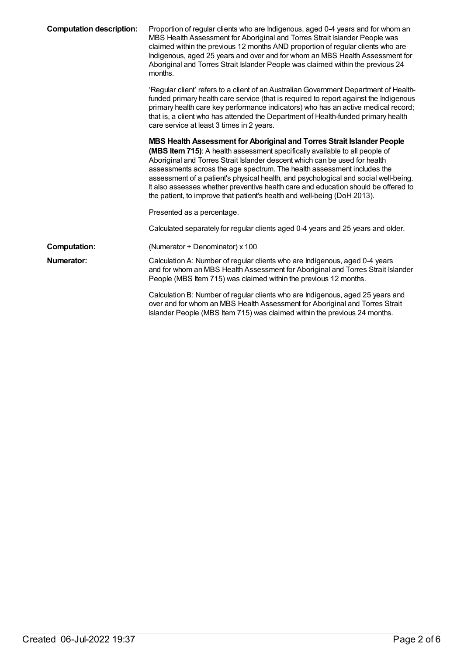| <b>Computation description:</b> | Proportion of regular clients who are Indigenous, aged 0-4 years and for whom an<br>MBS Health Assessment for Aboriginal and Torres Strait Islander People was<br>claimed within the previous 12 months AND proportion of regular clients who are<br>Indigenous, aged 25 years and over and for whom an MBS Health Assessment for<br>Aboriginal and Torres Strait Islander People was claimed within the previous 24<br>months.                                                                                                                                         |
|---------------------------------|-------------------------------------------------------------------------------------------------------------------------------------------------------------------------------------------------------------------------------------------------------------------------------------------------------------------------------------------------------------------------------------------------------------------------------------------------------------------------------------------------------------------------------------------------------------------------|
|                                 | 'Regular client' refers to a client of an Australian Government Department of Health-<br>funded primary health care service (that is required to report against the Indigenous<br>primary health care key performance indicators) who has an active medical record;<br>that is, a client who has attended the Department of Health-funded primary health<br>care service at least 3 times in 2 years.                                                                                                                                                                   |
|                                 | MBS Health Assessment for Aboriginal and Torres Strait Islander People<br>(MBS Item 715): A health assessment specifically available to all people of<br>Aboriginal and Torres Strait Islander descent which can be used for health<br>assessments across the age spectrum. The health assessment includes the<br>assessment of a patient's physical health, and psychological and social well-being.<br>It also assesses whether preventive health care and education should be offered to<br>the patient, to improve that patient's health and well-being (DoH 2013). |
|                                 | Presented as a percentage.                                                                                                                                                                                                                                                                                                                                                                                                                                                                                                                                              |
|                                 | Calculated separately for regular clients aged 0-4 years and 25 years and older.                                                                                                                                                                                                                                                                                                                                                                                                                                                                                        |
| <b>Computation:</b>             | (Numerator + Denominator) x 100                                                                                                                                                                                                                                                                                                                                                                                                                                                                                                                                         |
| Numerator:                      | Calculation A: Number of regular clients who are Indigenous, aged 0-4 years<br>and for whom an MBS Health Assessment for Aboriginal and Torres Strait Islander<br>People (MBS Item 715) was claimed within the previous 12 months.                                                                                                                                                                                                                                                                                                                                      |
|                                 | Calculation B: Number of regular clients who are Indigenous, aged 25 years and<br>over and for whom an MBS Health Assessment for Aboriginal and Torres Strait<br>Islander People (MBS Item 715) was claimed within the previous 24 months.                                                                                                                                                                                                                                                                                                                              |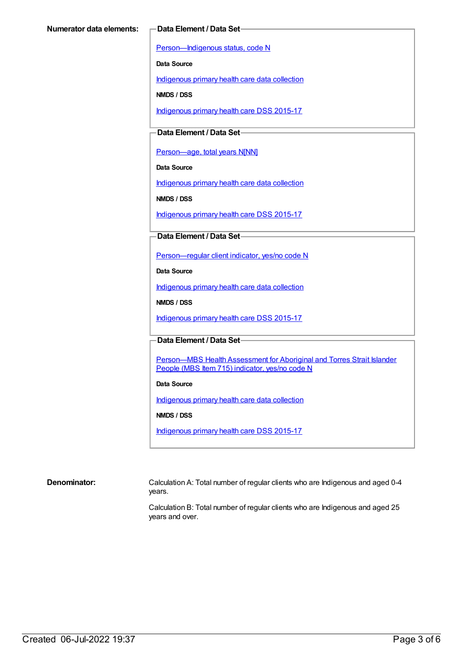[Person—Indigenous](https://meteor.aihw.gov.au/content/291036) status, code N

**Data Source**

[Indigenous](https://meteor.aihw.gov.au/content/430643) primary health care data collection

**NMDS / DSS**

[Indigenous](https://meteor.aihw.gov.au/content/585036) primary health care DSS 2015-17

**Data Element / Data Set**

[Person—age,](https://meteor.aihw.gov.au/content/303794) total years N[NN]

**Data Source**

[Indigenous](https://meteor.aihw.gov.au/content/430643) primary health care data collection

**NMDS / DSS**

[Indigenous](https://meteor.aihw.gov.au/content/585036) primary health care DSS 2015-17

**Data Element / Data Set**

[Person—regular](https://meteor.aihw.gov.au/content/436639) client indicator, yes/no code N

**Data Source**

[Indigenous](https://meteor.aihw.gov.au/content/430643) primary health care data collection

**NMDS / DSS**

[Indigenous](https://meteor.aihw.gov.au/content/585036) primary health care DSS 2015-17

**Data Element / Data Set**

Person-MBS Health Assessment for Aboriginal and Torres Strait Islander People (MBS Item 715) indicator, yes/no code N

### **Data Source**

[Indigenous](https://meteor.aihw.gov.au/content/430643) primary health care data collection

**NMDS / DSS**

[Indigenous](https://meteor.aihw.gov.au/content/585036) primary health care DSS 2015-17

#### **Denominator:** Calculation A: Total number of regular clients who are Indigenous and aged 0-4 years.

Calculation B: Total number of regular clients who are Indigenous and aged 25 years and over.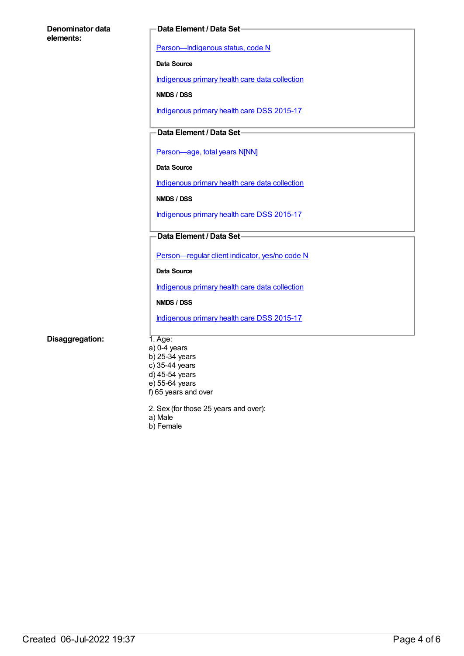| Denominator data<br>elements: | Data Element / Data Set-                       |
|-------------------------------|------------------------------------------------|
|                               | Person-Indigenous status, code N               |
|                               | Data Source                                    |
|                               | Indigenous primary health care data collection |
|                               | NMDS / DSS                                     |
|                               | Indigenous primary health care DSS 2015-17     |
|                               | Data Element / Data Set-                       |
|                               |                                                |
|                               | Person-age, total years N[NN]                  |
|                               | Data Source                                    |
|                               | Indigenous primary health care data collection |
|                               | NMDS / DSS                                     |
|                               | Indigenous primary health care DSS 2015-17     |
|                               | Data Element / Data Set-                       |
|                               | Person-regular client indicator, yes/no code N |
|                               | Data Source                                    |
|                               | Indigenous primary health care data collection |
|                               | NMDS / DSS                                     |
|                               | Indigenous primary health care DSS 2015-17     |
| Disaggregation:               | $1.$ Age:                                      |
|                               | $a)$ 0-4 years                                 |
|                               | b) 25-34 years                                 |
|                               | c) 35-44 years<br>d) 45-54 years               |
|                               | e) 55-64 years                                 |
|                               | f) 65 years and over                           |

- 2. Sex (for those 25 years and over):
- a) Male
- b) Female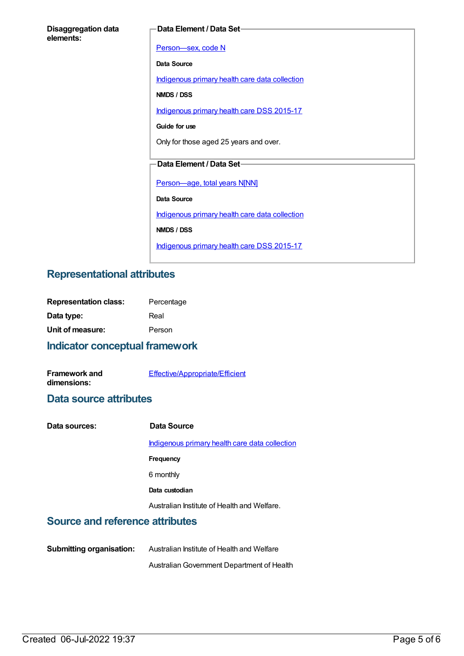| <b>Disaggregation data</b> |  |
|----------------------------|--|
| elements:                  |  |

### **Data Element / Data Set**

[Person—sex,](https://meteor.aihw.gov.au/content/287316) code N **Data Source** [Indigenous](https://meteor.aihw.gov.au/content/430643) primary health care data collection **NMDS / DSS** [Indigenous](https://meteor.aihw.gov.au/content/585036) primary health care DSS 2015-17 **Guide for use** Only for those aged 25 years and over. **Data Element / Data Set** [Person—age,](https://meteor.aihw.gov.au/content/303794) total years N[NN] **Data Source** [Indigenous](https://meteor.aihw.gov.au/content/430643) primary health care data collection **NMDS / DSS** [Indigenous](https://meteor.aihw.gov.au/content/585036) primary health care DSS 2015-17

## **Representational attributes**

| <b>Representation class:</b> | Percentage |
|------------------------------|------------|
| Data type:                   | Real       |
| Unit of measure:             | Person     |

## **Indicator conceptual framework**

| <b>Framework and</b> | Effective/Appropriate/Efficient |
|----------------------|---------------------------------|
| dimensions:          |                                 |

## **Data source attributes**

| Data sources: | Data Source                                    |
|---------------|------------------------------------------------|
|               | Indigenous primary health care data collection |
|               | Frequency                                      |
|               | 6 monthly                                      |
|               | Data custodian                                 |
|               | Australian Institute of Health and Welfare.    |

# **Source and reference attributes**

**Submitting organisation:** Australian Institute of Health and Welfare